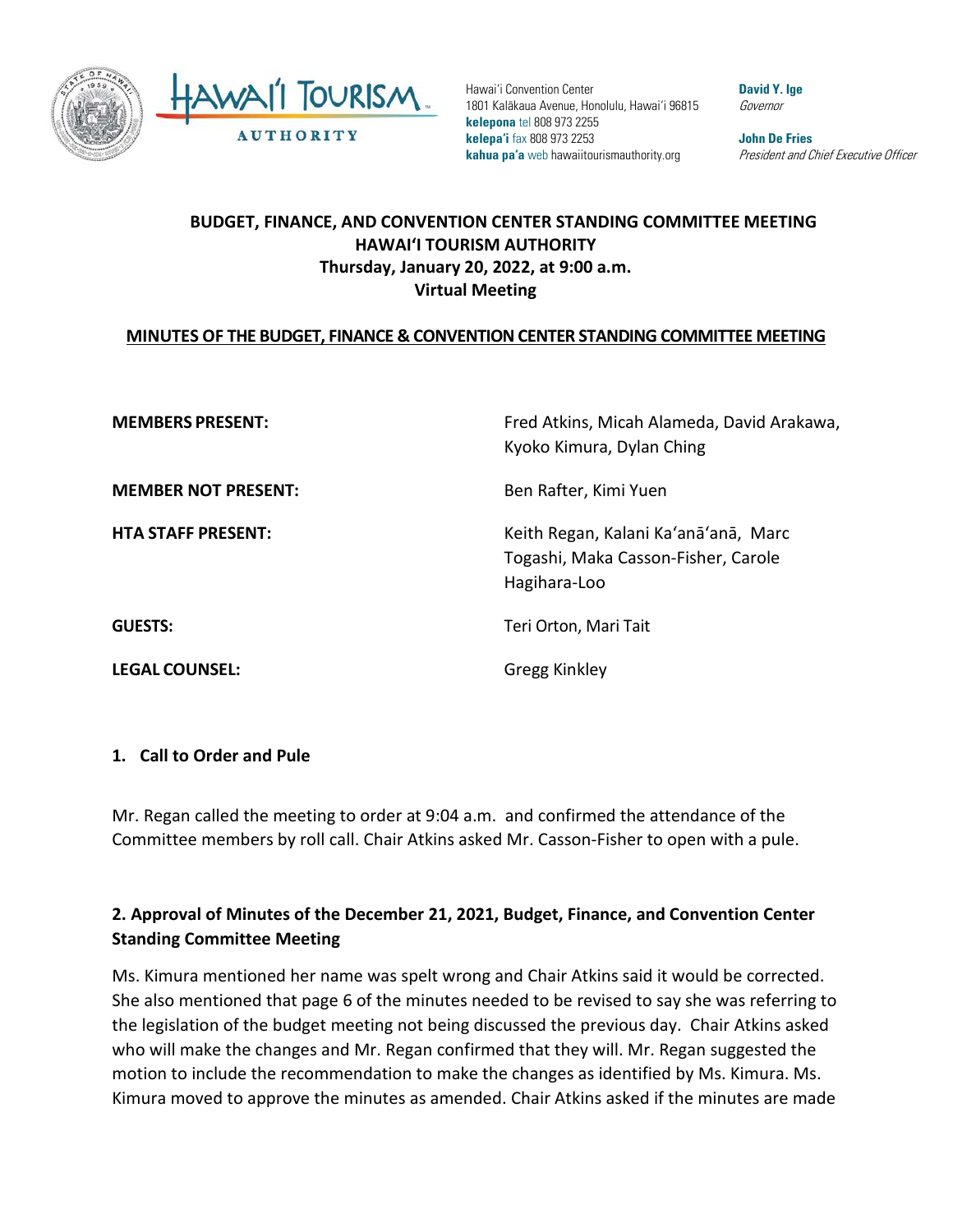

Hawai'i Convention Center 1801 Kalākaua Avenue, Honolulu, Hawai'i 96815 **kelepona** tel 808 973 2255 **kelepa'i** fax 808 973 2253 **kahua pa'a** web hawaiitourismauthority.org

**David Y. Ige** Governor

**John De Fries** President and Chief Executive Officer

## **BUDGET, FINANCE, AND CONVENTION CENTER STANDING COMMITTEE MEETING HAWAI'I TOURISM AUTHORITY Thursday, January 20, 2022, at 9:00 a.m. Virtual Meeting**

#### **MINUTES OF THE BUDGET, FINANCE & CONVENTION CENTER STANDING COMMITTEE MEETING**

**MEMBERS PRESENT:** Fred Atkins, Micah Alameda, David Arakawa, Kyoko Kimura, Dylan Ching **MEMBER NOT PRESENT:** Ben Rafter, Kimi Yuen **HTA STAFF PRESENT:** Keith Regan, Kalani Ka'anā'anā, Marc Togashi, Maka Casson-Fisher, Carole Hagihara-Loo **GUESTS:** Teri Orton, Mari Tait **LEGAL COUNSEL:** Gregg Kinkley

#### **1. Call to Order and Pule**

Mr. Regan called the meeting to order at 9:04 a.m. and confirmed the attendance of the Committee members by roll call. Chair Atkins asked Mr. Casson-Fisher to open with a pule.

## **2. Approval of Minutes of the December 21, 2021, Budget, Finance, and Convention Center Standing Committee Meeting**

Ms. Kimura mentioned her name was spelt wrong and Chair Atkins said it would be corrected. She also mentioned that page 6 of the minutes needed to be revised to say she was referring to the legislation of the budget meeting not being discussed the previous day. Chair Atkins asked who will make the changes and Mr. Regan confirmed that they will. Mr. Regan suggested the motion to include the recommendation to make the changes as identified by Ms. Kimura. Ms. Kimura moved to approve the minutes as amended. Chair Atkins asked if the minutes are made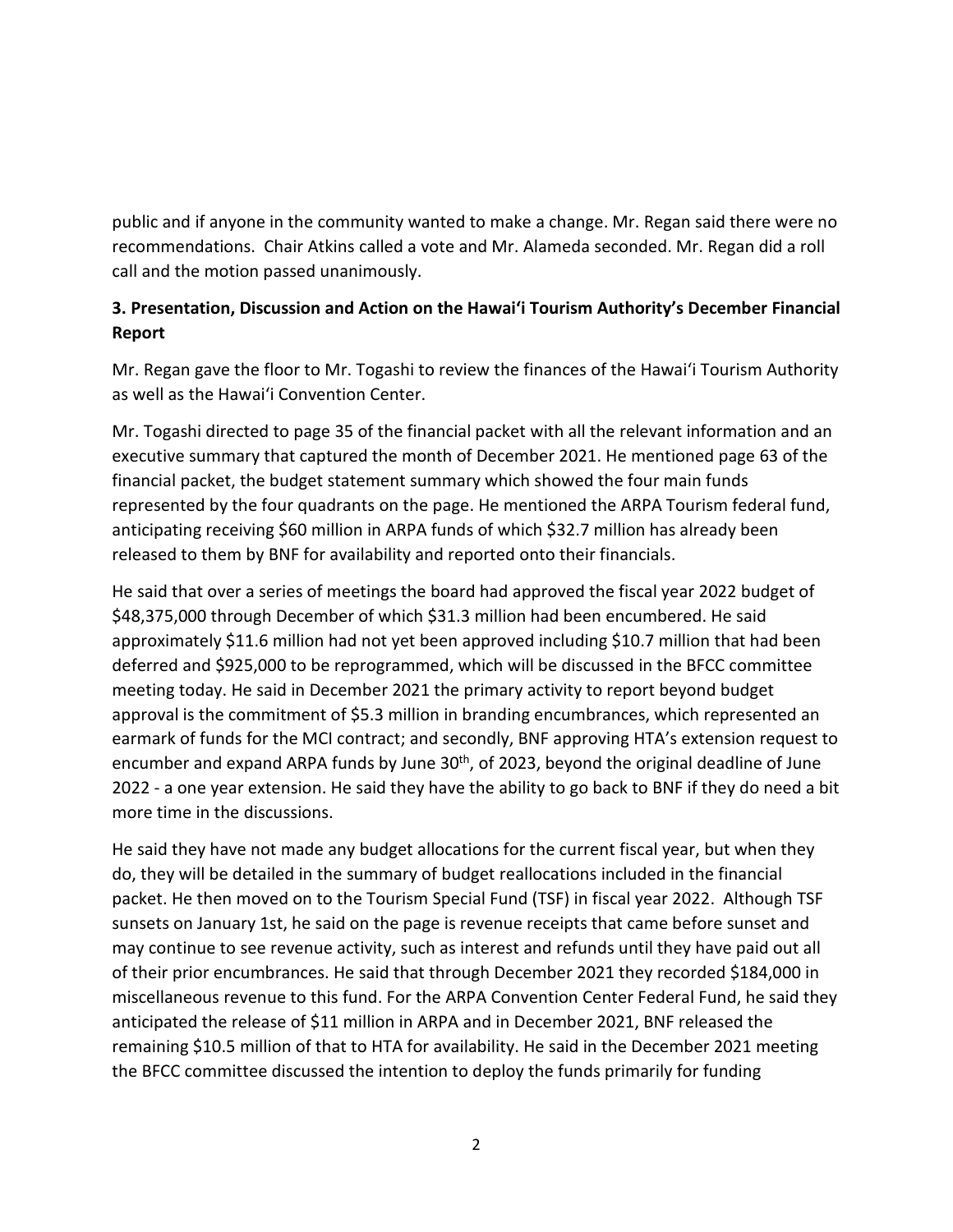public and if anyone in the community wanted to make a change. Mr. Regan said there were no recommendations. Chair Atkins called a vote and Mr. Alameda seconded. Mr. Regan did a roll call and the motion passed unanimously.

## **3. Presentation, Discussion and Action on the Hawai'i Tourism Authority's December Financial Report**

Mr. Regan gave the floor to Mr. Togashi to review the finances of the Hawai'i Tourism Authority as well as the Hawai'i Convention Center.

Mr. Togashi directed to page 35 of the financial packet with all the relevant information and an executive summary that captured the month of December 2021. He mentioned page 63 of the financial packet, the budget statement summary which showed the four main funds represented by the four quadrants on the page. He mentioned the ARPA Tourism federal fund, anticipating receiving \$60 million in ARPA funds of which \$32.7 million has already been released to them by BNF for availability and reported onto their financials.

He said that over a series of meetings the board had approved the fiscal year 2022 budget of \$48,375,000 through December of which \$31.3 million had been encumbered. He said approximately \$11.6 million had not yet been approved including \$10.7 million that had been deferred and \$925,000 to be reprogrammed, which will be discussed in the BFCC committee meeting today. He said in December 2021 the primary activity to report beyond budget approval is the commitment of \$5.3 million in branding encumbrances, which represented an earmark of funds for the MCI contract; and secondly, BNF approving HTA's extension request to encumber and expand ARPA funds by June 30<sup>th</sup>, of 2023, beyond the original deadline of June 2022 - a one year extension. He said they have the ability to go back to BNF if they do need a bit more time in the discussions.

He said they have not made any budget allocations for the current fiscal year, but when they do, they will be detailed in the summary of budget reallocations included in the financial packet. He then moved on to the Tourism Special Fund (TSF) in fiscal year 2022. Although TSF sunsets on January 1st, he said on the page is revenue receipts that came before sunset and may continue to see revenue activity, such as interest and refunds until they have paid out all of their prior encumbrances. He said that through December 2021 they recorded \$184,000 in miscellaneous revenue to this fund. For the ARPA Convention Center Federal Fund, he said they anticipated the release of \$11 million in ARPA and in December 2021, BNF released the remaining \$10.5 million of that to HTA for availability. He said in the December 2021 meeting the BFCC committee discussed the intention to deploy the funds primarily for funding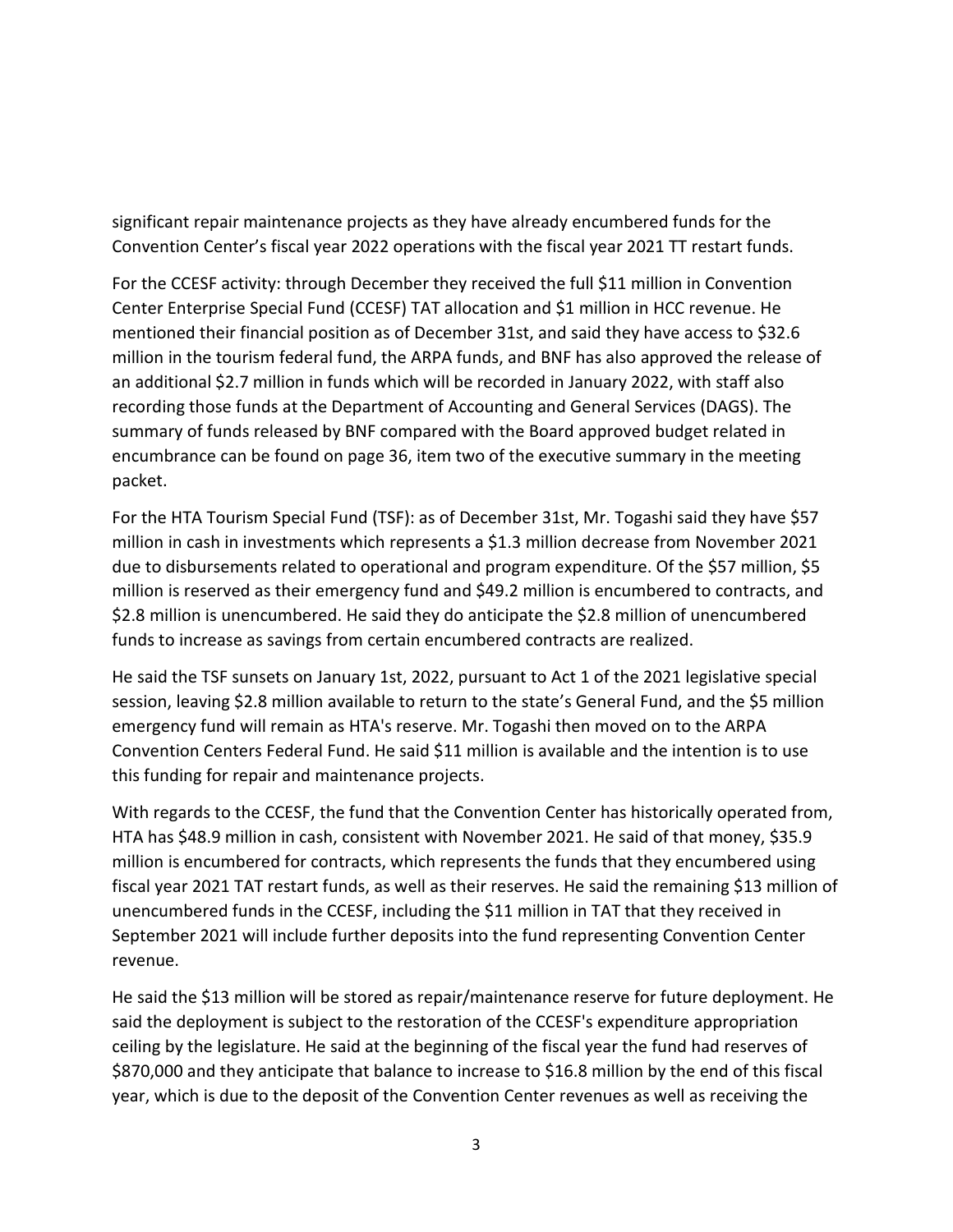significant repair maintenance projects as they have already encumbered funds for the Convention Center's fiscal year 2022 operations with the fiscal year 2021 TT restart funds.

For the CCESF activity: through December they received the full \$11 million in Convention Center Enterprise Special Fund (CCESF) TAT allocation and \$1 million in HCC revenue. He mentioned their financial position as of December 31st, and said they have access to \$32.6 million in the tourism federal fund, the ARPA funds, and BNF has also approved the release of an additional \$2.7 million in funds which will be recorded in January 2022, with staff also recording those funds at the Department of Accounting and General Services (DAGS). The summary of funds released by BNF compared with the Board approved budget related in encumbrance can be found on page 36, item two of the executive summary in the meeting packet.

For the HTA Tourism Special Fund (TSF): as of December 31st, Mr. Togashi said they have \$57 million in cash in investments which represents a \$1.3 million decrease from November 2021 due to disbursements related to operational and program expenditure. Of the \$57 million, \$5 million is reserved as their emergency fund and \$49.2 million is encumbered to contracts, and \$2.8 million is unencumbered. He said they do anticipate the \$2.8 million of unencumbered funds to increase as savings from certain encumbered contracts are realized.

He said the TSF sunsets on January 1st, 2022, pursuant to Act 1 of the 2021 legislative special session, leaving \$2.8 million available to return to the state's General Fund, and the \$5 million emergency fund will remain as HTA's reserve. Mr. Togashi then moved on to the ARPA Convention Centers Federal Fund. He said \$11 million is available and the intention is to use this funding for repair and maintenance projects.

With regards to the CCESF, the fund that the Convention Center has historically operated from, HTA has \$48.9 million in cash, consistent with November 2021. He said of that money, \$35.9 million is encumbered for contracts, which represents the funds that they encumbered using fiscal year 2021 TAT restart funds, as well as their reserves. He said the remaining \$13 million of unencumbered funds in the CCESF, including the \$11 million in TAT that they received in September 2021 will include further deposits into the fund representing Convention Center revenue.

He said the \$13 million will be stored as repair/maintenance reserve for future deployment. He said the deployment is subject to the restoration of the CCESF's expenditure appropriation ceiling by the legislature. He said at the beginning of the fiscal year the fund had reserves of \$870,000 and they anticipate that balance to increase to \$16.8 million by the end of this fiscal year, which is due to the deposit of the Convention Center revenues as well as receiving the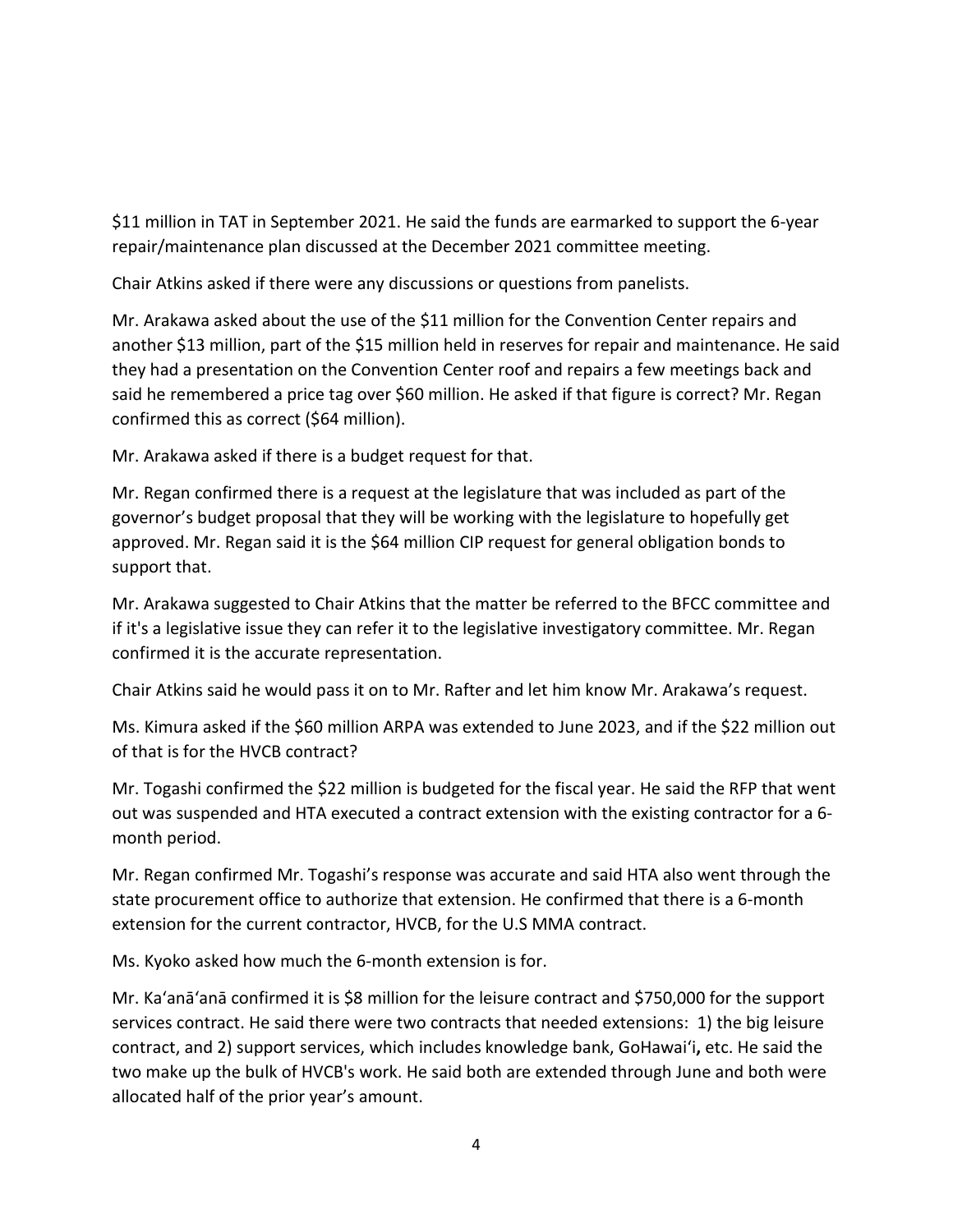\$11 million in TAT in September 2021. He said the funds are earmarked to support the 6-year repair/maintenance plan discussed at the December 2021 committee meeting.

Chair Atkins asked if there were any discussions or questions from panelists.

Mr. Arakawa asked about the use of the \$11 million for the Convention Center repairs and another \$13 million, part of the \$15 million held in reserves for repair and maintenance. He said they had a presentation on the Convention Center roof and repairs a few meetings back and said he remembered a price tag over \$60 million. He asked if that figure is correct? Mr. Regan confirmed this as correct (\$64 million).

Mr. Arakawa asked if there is a budget request for that.

Mr. Regan confirmed there is a request at the legislature that was included as part of the governor's budget proposal that they will be working with the legislature to hopefully get approved. Mr. Regan said it is the \$64 million CIP request for general obligation bonds to support that.

Mr. Arakawa suggested to Chair Atkins that the matter be referred to the BFCC committee and if it's a legislative issue they can refer it to the legislative investigatory committee. Mr. Regan confirmed it is the accurate representation.

Chair Atkins said he would pass it on to Mr. Rafter and let him know Mr. Arakawa's request.

Ms. Kimura asked if the \$60 million ARPA was extended to June 2023, and if the \$22 million out of that is for the HVCB contract?

Mr. Togashi confirmed the \$22 million is budgeted for the fiscal year. He said the RFP that went out was suspended and HTA executed a contract extension with the existing contractor for a 6 month period.

Mr. Regan confirmed Mr. Togashi's response was accurate and said HTA also went through the state procurement office to authorize that extension. He confirmed that there is a 6-month extension for the current contractor, HVCB, for the U.S MMA contract.

Ms. Kyoko asked how much the 6-month extension is for.

Mr. Ka'anā'anā confirmed it is \$8 million for the leisure contract and \$750,000 for the support services contract. He said there were two contracts that needed extensions: 1) the big leisure contract, and 2) support services, which includes knowledge bank, GoHawai'i**,** etc. He said the two make up the bulk of HVCB's work. He said both are extended through June and both were allocated half of the prior year's amount.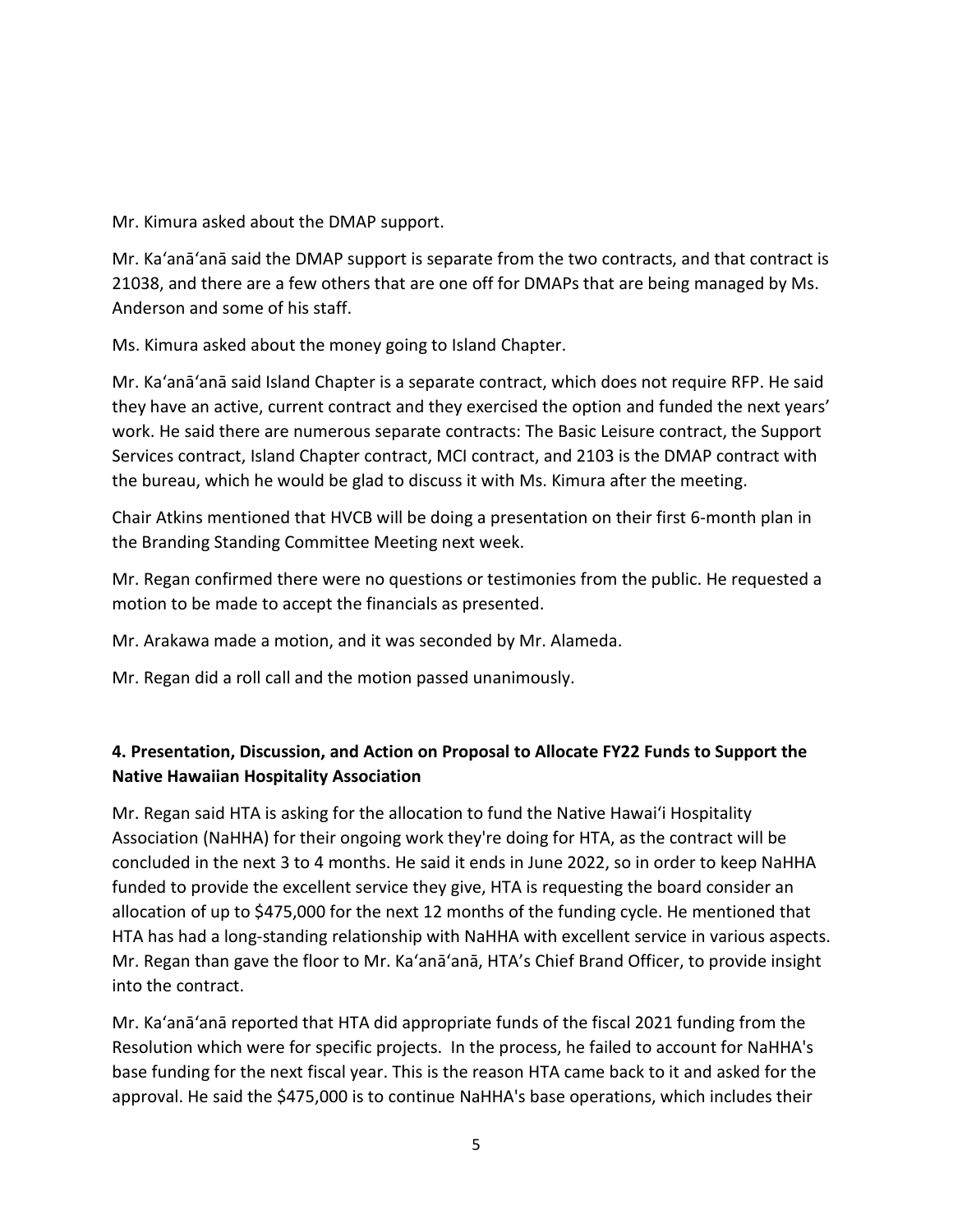Mr. Kimura asked about the DMAP support.

Mr. Ka'anā'anā said the DMAP support is separate from the two contracts, and that contract is 21038, and there are a few others that are one off for DMAPs that are being managed by Ms. Anderson and some of his staff.

Ms. Kimura asked about the money going to Island Chapter.

Mr. Ka'anā'anā said Island Chapter is a separate contract, which does not require RFP. He said they have an active, current contract and they exercised the option and funded the next years' work. He said there are numerous separate contracts: The Basic Leisure contract, the Support Services contract, Island Chapter contract, MCI contract, and 2103 is the DMAP contract with the bureau, which he would be glad to discuss it with Ms. Kimura after the meeting.

Chair Atkins mentioned that HVCB will be doing a presentation on their first 6-month plan in the Branding Standing Committee Meeting next week.

Mr. Regan confirmed there were no questions or testimonies from the public. He requested a motion to be made to accept the financials as presented.

Mr. Arakawa made a motion, and it was seconded by Mr. Alameda.

Mr. Regan did a roll call and the motion passed unanimously.

## **4. Presentation, Discussion, and Action on Proposal to Allocate FY22 Funds to Support the Native Hawaiian Hospitality Association**

Mr. Regan said HTA is asking for the allocation to fund the Native Hawai'i Hospitality Association (NaHHA) for their ongoing work they're doing for HTA, as the contract will be concluded in the next 3 to 4 months. He said it ends in June 2022, so in order to keep NaHHA funded to provide the excellent service they give, HTA is requesting the board consider an allocation of up to \$475,000 for the next 12 months of the funding cycle. He mentioned that HTA has had a long-standing relationship with NaHHA with excellent service in various aspects. Mr. Regan than gave the floor to Mr. Ka'anā'anā, HTA's Chief Brand Officer, to provide insight into the contract.

Mr. Ka'anā'anā reported that HTA did appropriate funds of the fiscal 2021 funding from the Resolution which were for specific projects. In the process, he failed to account for NaHHA's base funding for the next fiscal year. This is the reason HTA came back to it and asked for the approval. He said the \$475,000 is to continue NaHHA's base operations, which includes their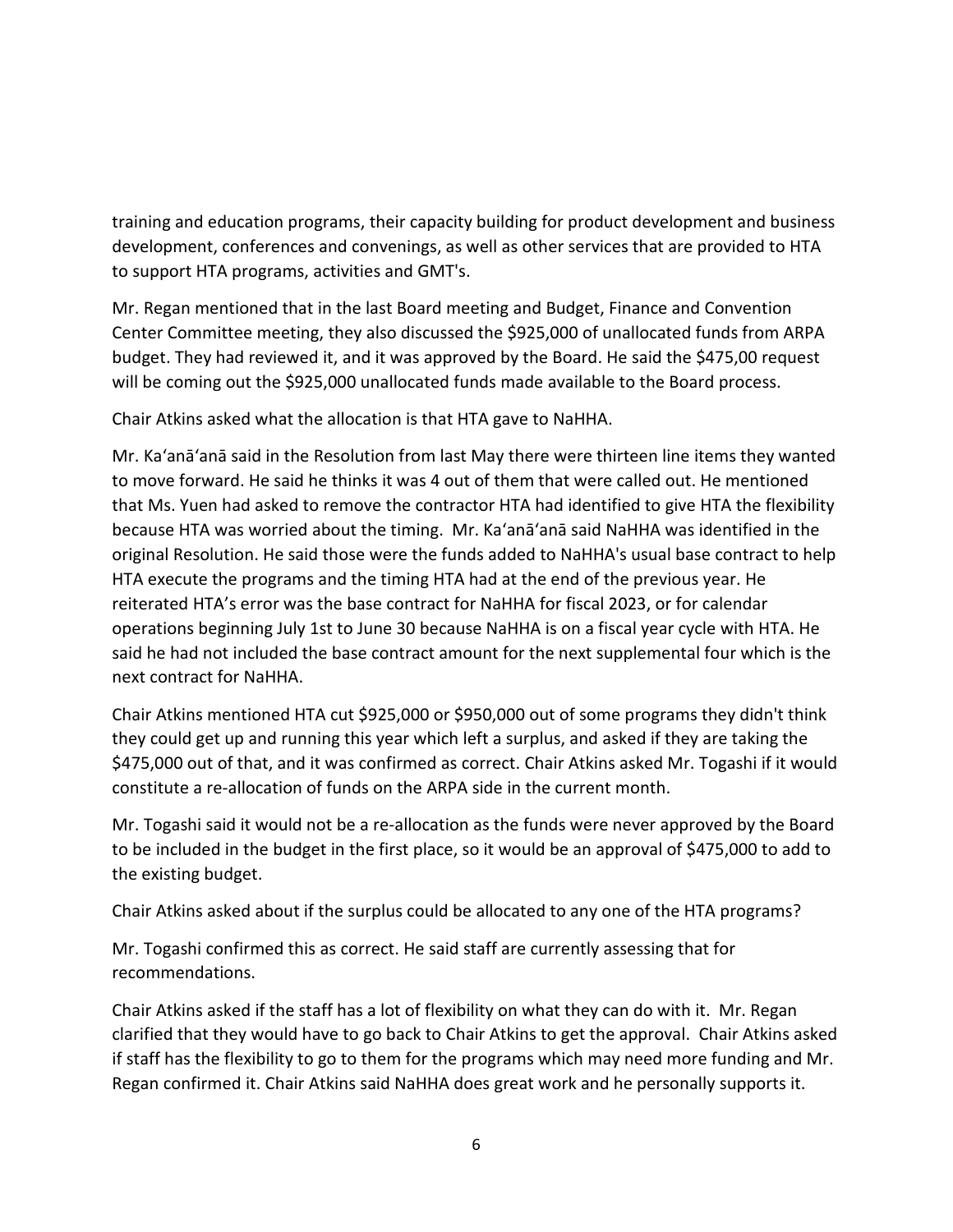training and education programs, their capacity building for product development and business development, conferences and convenings, as well as other services that are provided to HTA to support HTA programs, activities and GMT's.

Mr. Regan mentioned that in the last Board meeting and Budget, Finance and Convention Center Committee meeting, they also discussed the \$925,000 of unallocated funds from ARPA budget. They had reviewed it, and it was approved by the Board. He said the \$475,00 request will be coming out the \$925,000 unallocated funds made available to the Board process.

Chair Atkins asked what the allocation is that HTA gave to NaHHA.

Mr. Ka'anā'anā said in the Resolution from last May there were thirteen line items they wanted to move forward. He said he thinks it was 4 out of them that were called out. He mentioned that Ms. Yuen had asked to remove the contractor HTA had identified to give HTA the flexibility because HTA was worried about the timing. Mr. Ka'anā'anā said NaHHA was identified in the original Resolution. He said those were the funds added to NaHHA's usual base contract to help HTA execute the programs and the timing HTA had at the end of the previous year. He reiterated HTA's error was the base contract for NaHHA for fiscal 2023, or for calendar operations beginning July 1st to June 30 because NaHHA is on a fiscal year cycle with HTA. He said he had not included the base contract amount for the next supplemental four which is the next contract for NaHHA.

Chair Atkins mentioned HTA cut \$925,000 or \$950,000 out of some programs they didn't think they could get up and running this year which left a surplus, and asked if they are taking the \$475,000 out of that, and it was confirmed as correct. Chair Atkins asked Mr. Togashi if it would constitute a re-allocation of funds on the ARPA side in the current month.

Mr. Togashi said it would not be a re-allocation as the funds were never approved by the Board to be included in the budget in the first place, so it would be an approval of \$475,000 to add to the existing budget.

Chair Atkins asked about if the surplus could be allocated to any one of the HTA programs?

Mr. Togashi confirmed this as correct. He said staff are currently assessing that for recommendations.

Chair Atkins asked if the staff has a lot of flexibility on what they can do with it. Mr. Regan clarified that they would have to go back to Chair Atkins to get the approval. Chair Atkins asked if staff has the flexibility to go to them for the programs which may need more funding and Mr. Regan confirmed it. Chair Atkins said NaHHA does great work and he personally supports it.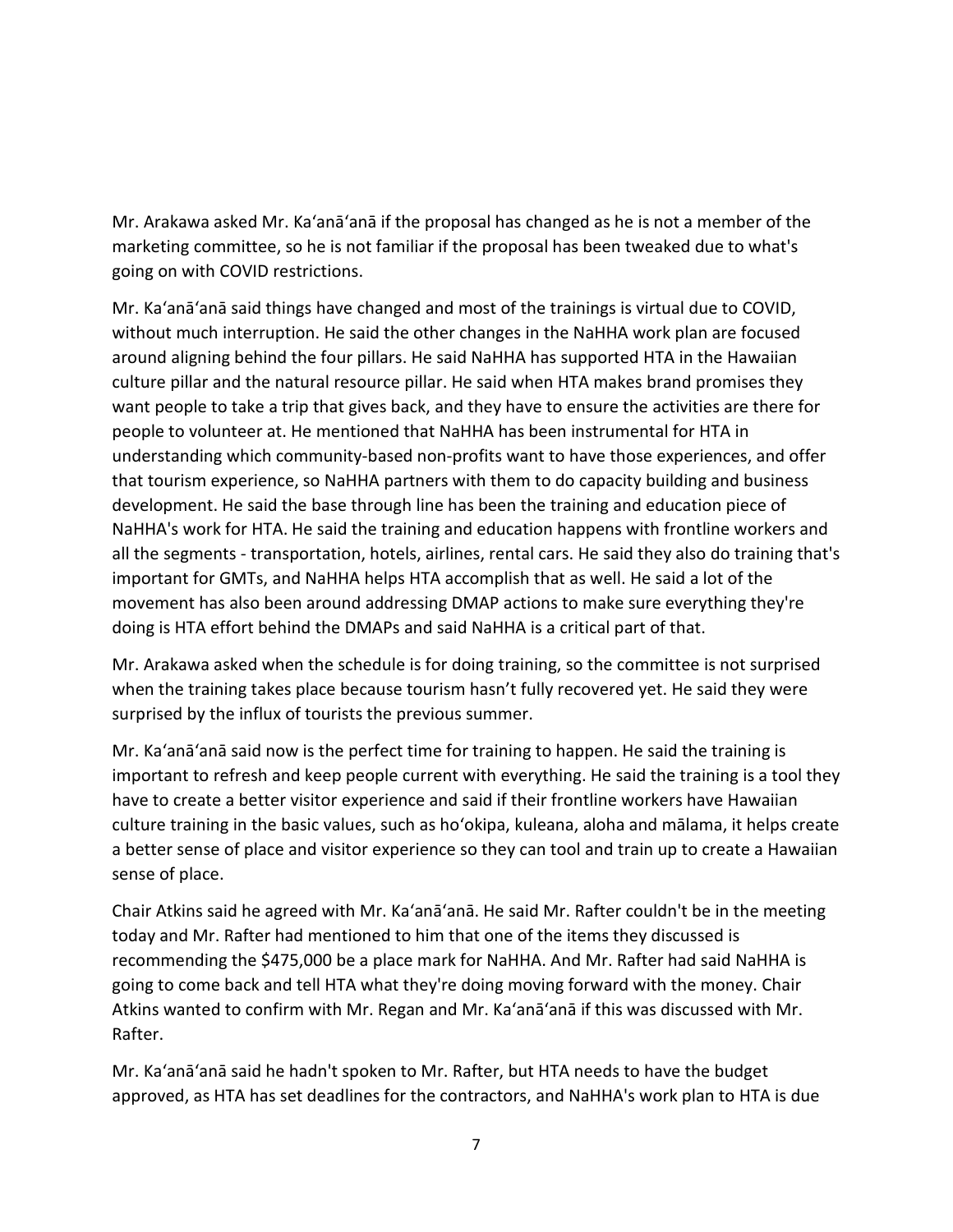Mr. Arakawa asked Mr. Ka'anā'anā if the proposal has changed as he is not a member of the marketing committee, so he is not familiar if the proposal has been tweaked due to what's going on with COVID restrictions.

Mr. Ka'anā'anā said things have changed and most of the trainings is virtual due to COVID, without much interruption. He said the other changes in the NaHHA work plan are focused around aligning behind the four pillars. He said NaHHA has supported HTA in the Hawaiian culture pillar and the natural resource pillar. He said when HTA makes brand promises they want people to take a trip that gives back, and they have to ensure the activities are there for people to volunteer at. He mentioned that NaHHA has been instrumental for HTA in understanding which community-based non-profits want to have those experiences, and offer that tourism experience, so NaHHA partners with them to do capacity building and business development. He said the base through line has been the training and education piece of NaHHA's work for HTA. He said the training and education happens with frontline workers and all the segments - transportation, hotels, airlines, rental cars. He said they also do training that's important for GMTs, and NaHHA helps HTA accomplish that as well. He said a lot of the movement has also been around addressing DMAP actions to make sure everything they're doing is HTA effort behind the DMAPs and said NaHHA is a critical part of that.

Mr. Arakawa asked when the schedule is for doing training, so the committee is not surprised when the training takes place because tourism hasn't fully recovered yet. He said they were surprised by the influx of tourists the previous summer.

Mr. Ka'anā'anā said now is the perfect time for training to happen. He said the training is important to refresh and keep people current with everything. He said the training is a tool they have to create a better visitor experience and said if their frontline workers have Hawaiian culture training in the basic values, such as ho'okipa, kuleana, aloha and mālama, it helps create a better sense of place and visitor experience so they can tool and train up to create a Hawaiian sense of place.

Chair Atkins said he agreed with Mr. Ka'anā'anā. He said Mr. Rafter couldn't be in the meeting today and Mr. Rafter had mentioned to him that one of the items they discussed is recommending the \$475,000 be a place mark for NaHHA. And Mr. Rafter had said NaHHA is going to come back and tell HTA what they're doing moving forward with the money. Chair Atkins wanted to confirm with Mr. Regan and Mr. Ka'anā'anā if this was discussed with Mr. Rafter.

Mr. Ka'anā'anā said he hadn't spoken to Mr. Rafter, but HTA needs to have the budget approved, as HTA has set deadlines for the contractors, and NaHHA's work plan to HTA is due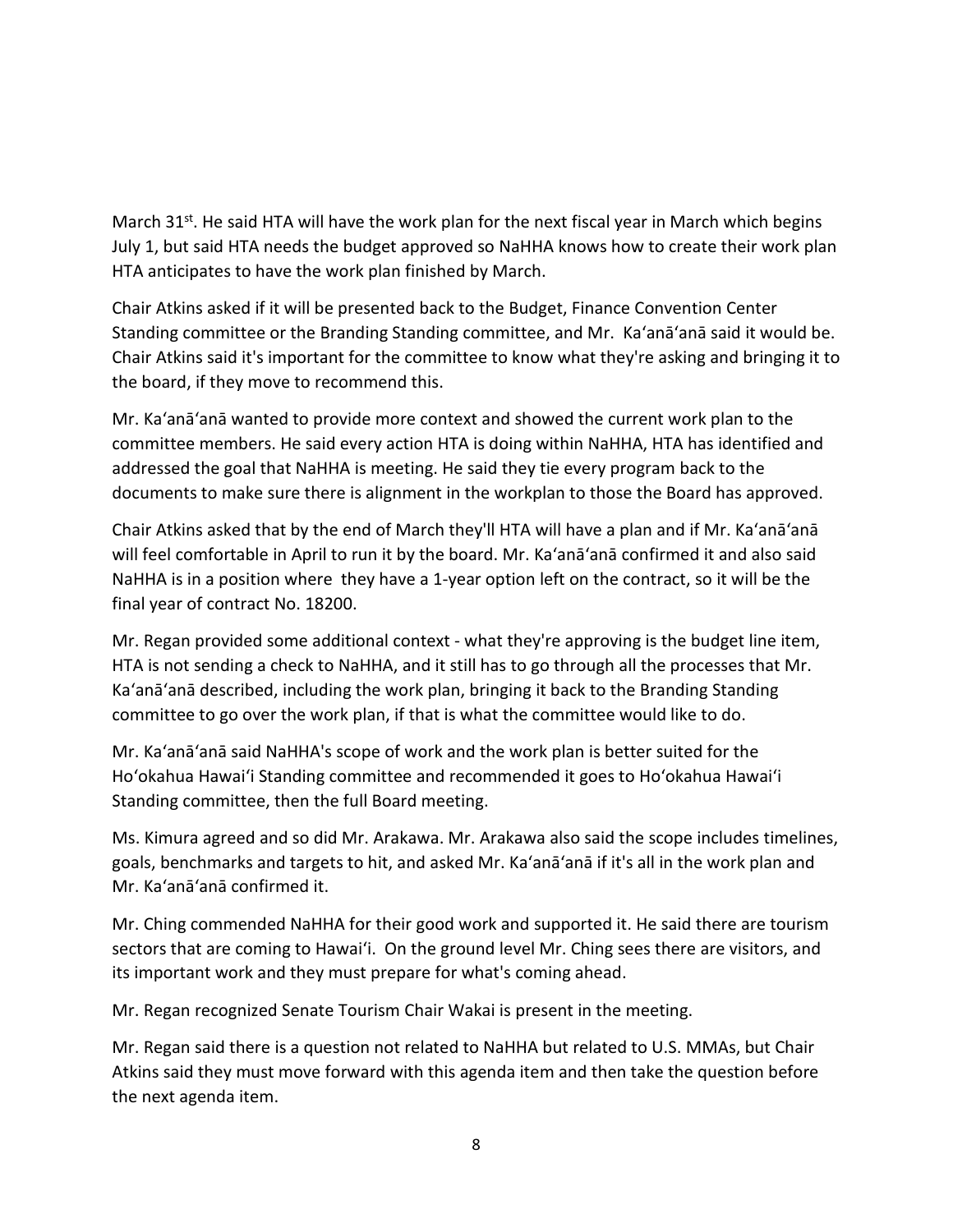March  $31^{st}$ . He said HTA will have the work plan for the next fiscal year in March which begins July 1, but said HTA needs the budget approved so NaHHA knows how to create their work plan HTA anticipates to have the work plan finished by March.

Chair Atkins asked if it will be presented back to the Budget, Finance Convention Center Standing committee or the Branding Standing committee, and Mr. Ka'anā'anā said it would be. Chair Atkins said it's important for the committee to know what they're asking and bringing it to the board, if they move to recommend this.

Mr. Ka'anā'anā wanted to provide more context and showed the current work plan to the committee members. He said every action HTA is doing within NaHHA, HTA has identified and addressed the goal that NaHHA is meeting. He said they tie every program back to the documents to make sure there is alignment in the workplan to those the Board has approved.

Chair Atkins asked that by the end of March they'll HTA will have a plan and if Mr. Ka'anā'anā will feel comfortable in April to run it by the board. Mr. Ka'anā'anā confirmed it and also said NaHHA is in a position where they have a 1-year option left on the contract, so it will be the final year of contract No. 18200.

Mr. Regan provided some additional context - what they're approving is the budget line item, HTA is not sending a check to NaHHA, and it still has to go through all the processes that Mr. Ka'anā'anā described, including the work plan, bringing it back to the Branding Standing committee to go over the work plan, if that is what the committee would like to do.

Mr. Ka'anā'anā said NaHHA's scope of work and the work plan is better suited for the Ho'okahua Hawai'i Standing committee and recommended it goes to Ho'okahua Hawai'i Standing committee, then the full Board meeting.

Ms. Kimura agreed and so did Mr. Arakawa. Mr. Arakawa also said the scope includes timelines, goals, benchmarks and targets to hit, and asked Mr. Ka'anā'anā if it's all in the work plan and Mr. Ka'anā'anā confirmed it.

Mr. Ching commended NaHHA for their good work and supported it. He said there are tourism sectors that are coming to Hawai'i. On the ground level Mr. Ching sees there are visitors, and its important work and they must prepare for what's coming ahead.

Mr. Regan recognized Senate Tourism Chair Wakai is present in the meeting.

Mr. Regan said there is a question not related to NaHHA but related to U.S. MMAs, but Chair Atkins said they must move forward with this agenda item and then take the question before the next agenda item.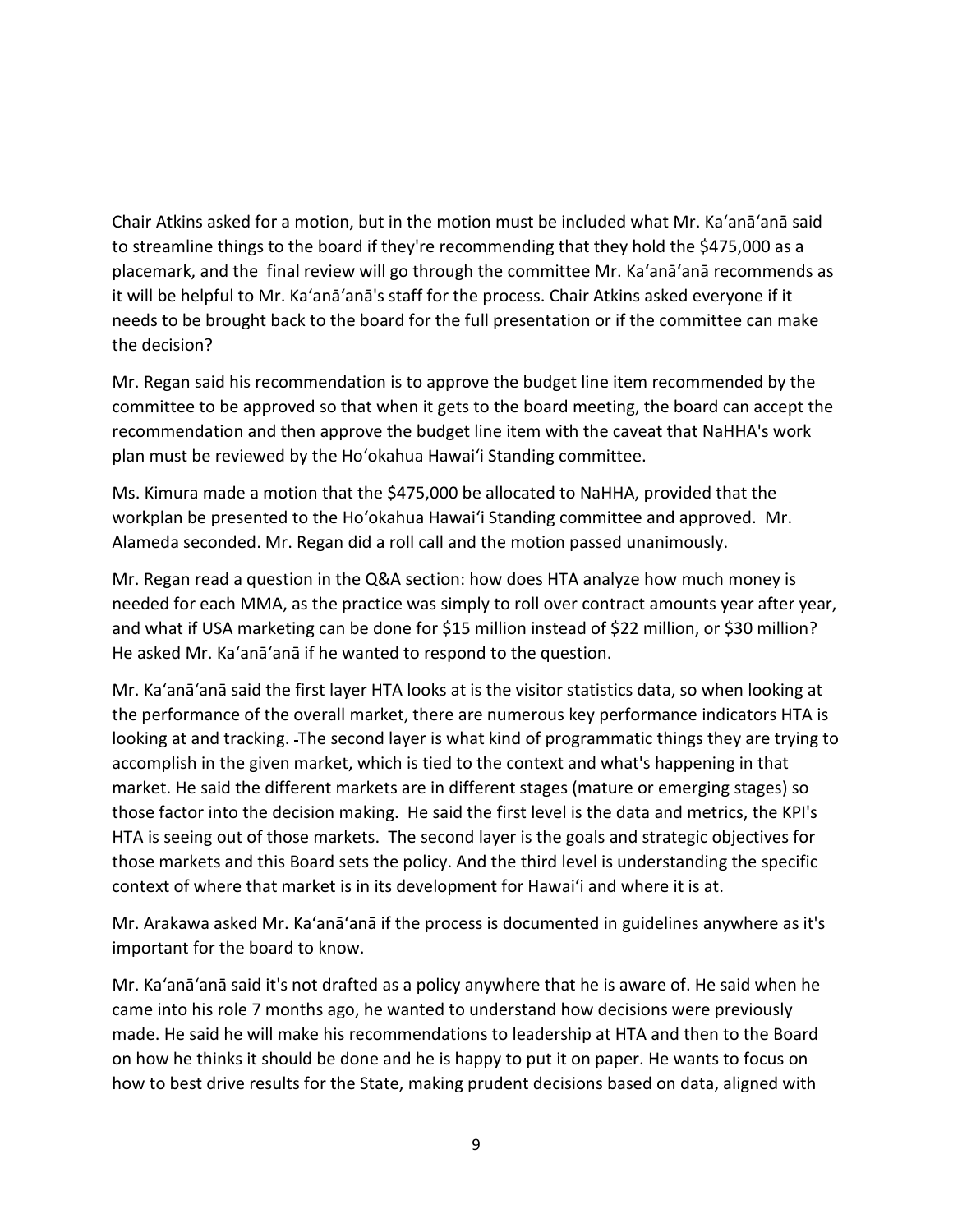Chair Atkins asked for a motion, but in the motion must be included what Mr. Ka'anā'anā said to streamline things to the board if they're recommending that they hold the \$475,000 as a placemark, and the final review will go through the committee Mr. Ka'anā'anā recommends as it will be helpful to Mr. Ka'anā'anā's staff for the process. Chair Atkins asked everyone if it needs to be brought back to the board for the full presentation or if the committee can make the decision?

Mr. Regan said his recommendation is to approve the budget line item recommended by the committee to be approved so that when it gets to the board meeting, the board can accept the recommendation and then approve the budget line item with the caveat that NaHHA's work plan must be reviewed by the Ho'okahua Hawai'i Standing committee.

Ms. Kimura made a motion that the \$475,000 be allocated to NaHHA, provided that the workplan be presented to the Ho'okahua Hawai'i Standing committee and approved. Mr. Alameda seconded. Mr. Regan did a roll call and the motion passed unanimously.

Mr. Regan read a question in the Q&A section: how does HTA analyze how much money is needed for each MMA, as the practice was simply to roll over contract amounts year after year, and what if USA marketing can be done for \$15 million instead of \$22 million, or \$30 million? He asked Mr. Ka'anā'anā if he wanted to respond to the question.

Mr. Ka'anā'anā said the first layer HTA looks at is the visitor statistics data, so when looking at the performance of the overall market, there are numerous key performance indicators HTA is looking at and tracking. The second layer is what kind of programmatic things they are trying to accomplish in the given market, which is tied to the context and what's happening in that market. He said the different markets are in different stages (mature or emerging stages) so those factor into the decision making. He said the first level is the data and metrics, the KPI's HTA is seeing out of those markets. The second layer is the goals and strategic objectives for those markets and this Board sets the policy. And the third level is understanding the specific context of where that market is in its development for Hawai'i and where it is at.

Mr. Arakawa asked Mr. Ka'anā'anā if the process is documented in guidelines anywhere as it's important for the board to know.

Mr. Ka'anā'anā said it's not drafted as a policy anywhere that he is aware of. He said when he came into his role 7 months ago, he wanted to understand how decisions were previously made. He said he will make his recommendations to leadership at HTA and then to the Board on how he thinks it should be done and he is happy to put it on paper. He wants to focus on how to best drive results for the State, making prudent decisions based on data, aligned with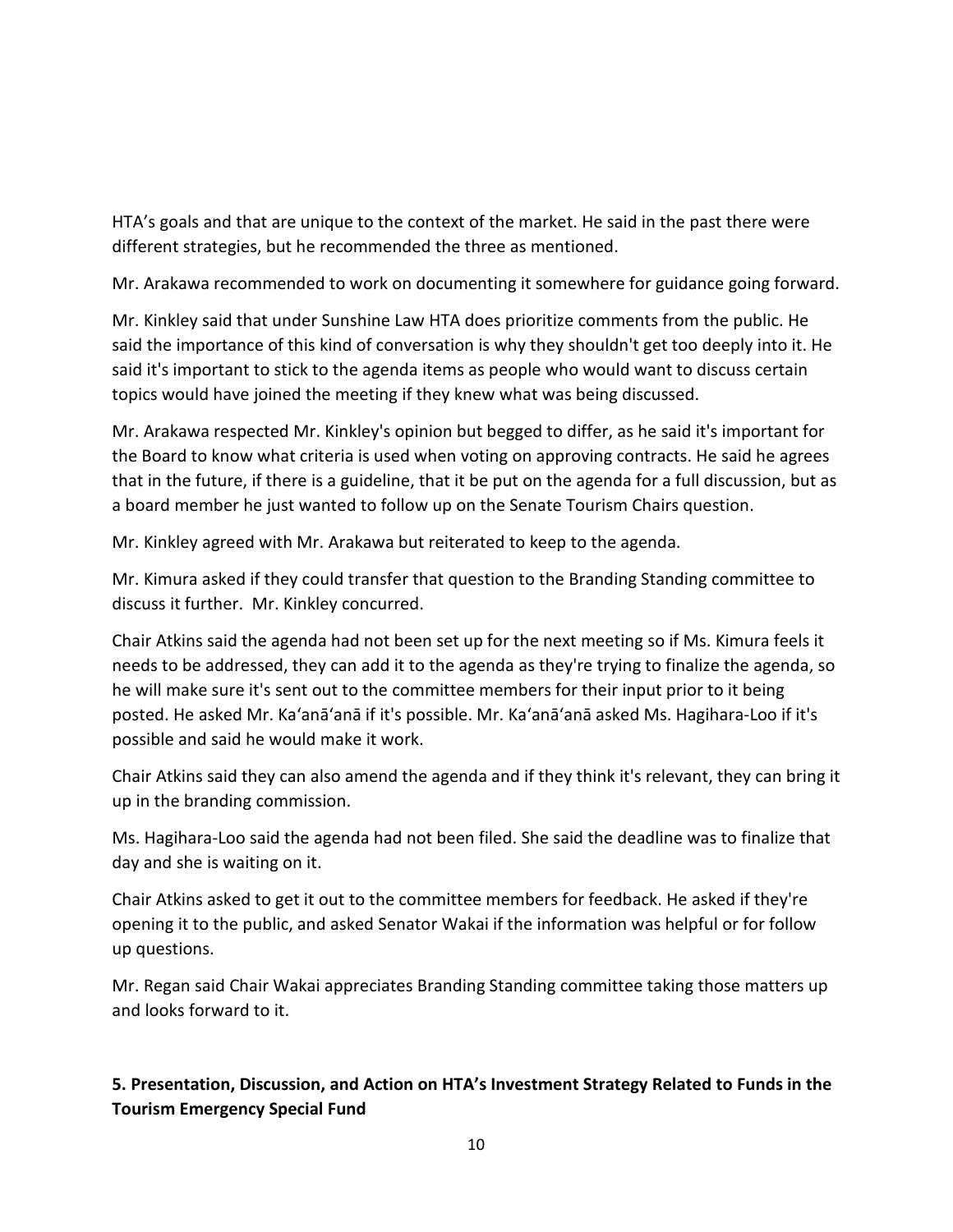HTA's goals and that are unique to the context of the market. He said in the past there were different strategies, but he recommended the three as mentioned.

Mr. Arakawa recommended to work on documenting it somewhere for guidance going forward.

Mr. Kinkley said that under Sunshine Law HTA does prioritize comments from the public. He said the importance of this kind of conversation is why they shouldn't get too deeply into it. He said it's important to stick to the agenda items as people who would want to discuss certain topics would have joined the meeting if they knew what was being discussed.

Mr. Arakawa respected Mr. Kinkley's opinion but begged to differ, as he said it's important for the Board to know what criteria is used when voting on approving contracts. He said he agrees that in the future, if there is a guideline, that it be put on the agenda for a full discussion, but as a board member he just wanted to follow up on the Senate Tourism Chairs question.

Mr. Kinkley agreed with Mr. Arakawa but reiterated to keep to the agenda.

Mr. Kimura asked if they could transfer that question to the Branding Standing committee to discuss it further. Mr. Kinkley concurred.

Chair Atkins said the agenda had not been set up for the next meeting so if Ms. Kimura feels it needs to be addressed, they can add it to the agenda as they're trying to finalize the agenda, so he will make sure it's sent out to the committee members for their input prior to it being posted. He asked Mr. Ka'anā'anā if it's possible. Mr. Ka'anā'anā asked Ms. Hagihara-Loo if it's possible and said he would make it work.

Chair Atkins said they can also amend the agenda and if they think it's relevant, they can bring it up in the branding commission.

Ms. Hagihara-Loo said the agenda had not been filed. She said the deadline was to finalize that day and she is waiting on it.

Chair Atkins asked to get it out to the committee members for feedback. He asked if they're opening it to the public, and asked Senator Wakai if the information was helpful or for follow up questions.

Mr. Regan said Chair Wakai appreciates Branding Standing committee taking those matters up and looks forward to it.

# **5. Presentation, Discussion, and Action on HTA's Investment Strategy Related to Funds in the Tourism Emergency Special Fund**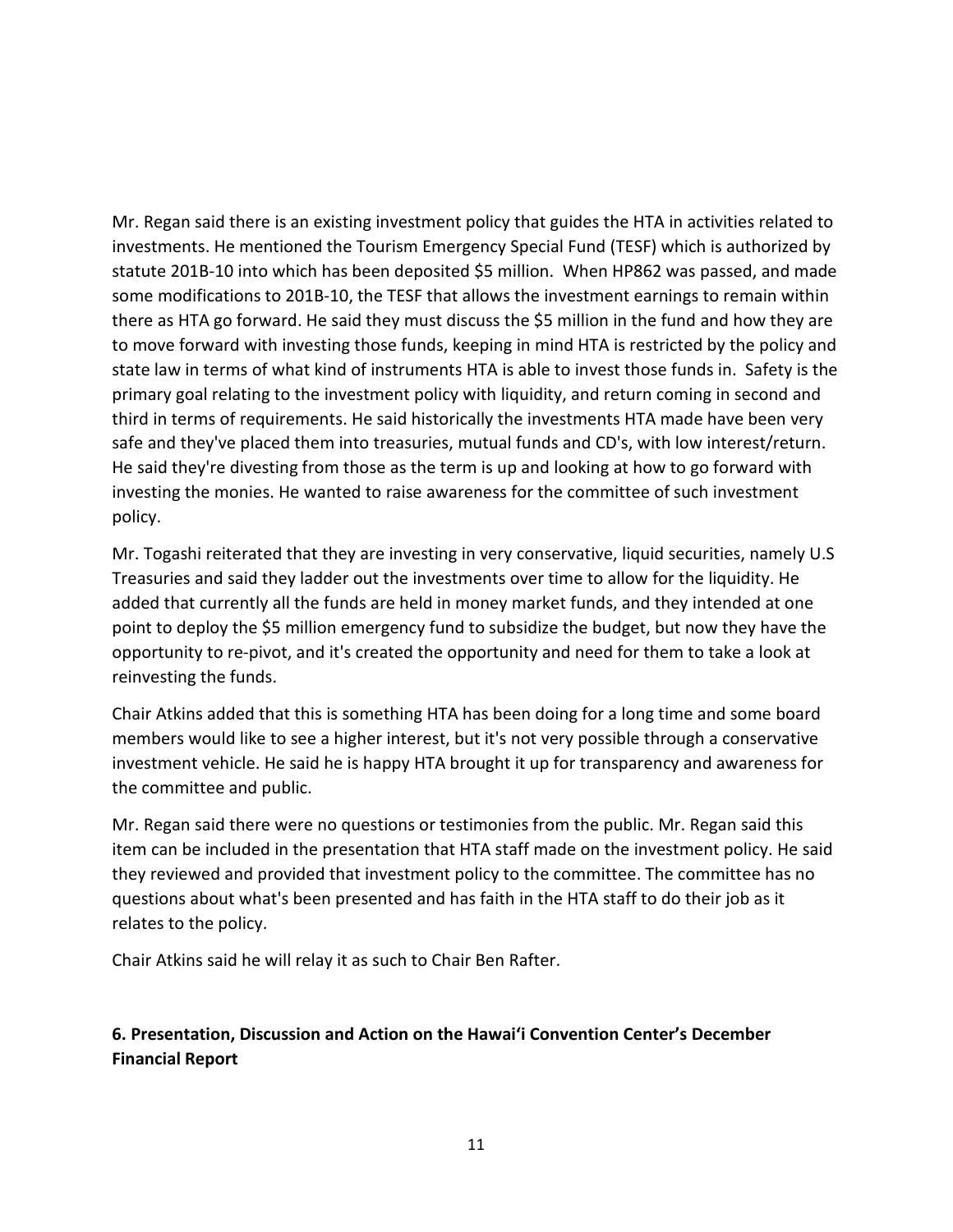Mr. Regan said there is an existing investment policy that guides the HTA in activities related to investments. He mentioned the Tourism Emergency Special Fund (TESF) which is authorized by statute 201B-10 into which has been deposited \$5 million. When HP862 was passed, and made some modifications to 201B-10, the TESF that allows the investment earnings to remain within there as HTA go forward. He said they must discuss the \$5 million in the fund and how they are to move forward with investing those funds, keeping in mind HTA is restricted by the policy and state law in terms of what kind of instruments HTA is able to invest those funds in. Safety is the primary goal relating to the investment policy with liquidity, and return coming in second and third in terms of requirements. He said historically the investments HTA made have been very safe and they've placed them into treasuries, mutual funds and CD's, with low interest/return. He said they're divesting from those as the term is up and looking at how to go forward with investing the monies. He wanted to raise awareness for the committee of such investment policy.

Mr. Togashi reiterated that they are investing in very conservative, liquid securities, namely U.S Treasuries and said they ladder out the investments over time to allow for the liquidity. He added that currently all the funds are held in money market funds, and they intended at one point to deploy the \$5 million emergency fund to subsidize the budget, but now they have the opportunity to re-pivot, and it's created the opportunity and need for them to take a look at reinvesting the funds.

Chair Atkins added that this is something HTA has been doing for a long time and some board members would like to see a higher interest, but it's not very possible through a conservative investment vehicle. He said he is happy HTA brought it up for transparency and awareness for the committee and public.

Mr. Regan said there were no questions or testimonies from the public. Mr. Regan said this item can be included in the presentation that HTA staff made on the investment policy. He said they reviewed and provided that investment policy to the committee. The committee has no questions about what's been presented and has faith in the HTA staff to do their job as it relates to the policy.

Chair Atkins said he will relay it as such to Chair Ben Rafter.

## **6. Presentation, Discussion and Action on the Hawai'i Convention Center's December Financial Report**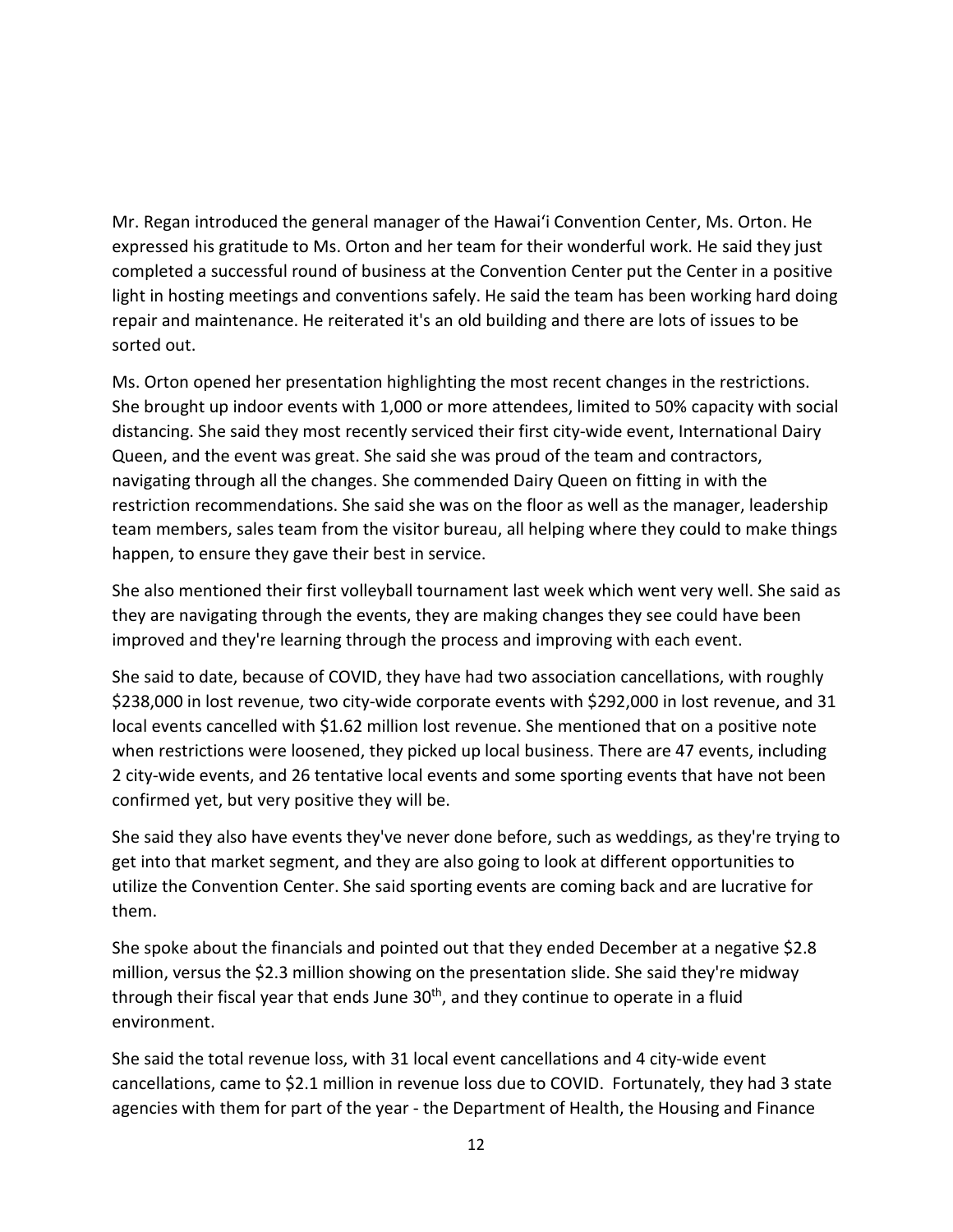Mr. Regan introduced the general manager of the Hawai'i Convention Center, Ms. Orton. He expressed his gratitude to Ms. Orton and her team for their wonderful work. He said they just completed a successful round of business at the Convention Center put the Center in a positive light in hosting meetings and conventions safely. He said the team has been working hard doing repair and maintenance. He reiterated it's an old building and there are lots of issues to be sorted out.

Ms. Orton opened her presentation highlighting the most recent changes in the restrictions. She brought up indoor events with 1,000 or more attendees, limited to 50% capacity with social distancing. She said they most recently serviced their first city-wide event, International Dairy Queen, and the event was great. She said she was proud of the team and contractors, navigating through all the changes. She commended Dairy Queen on fitting in with the restriction recommendations. She said she was on the floor as well as the manager, leadership team members, sales team from the visitor bureau, all helping where they could to make things happen, to ensure they gave their best in service.

She also mentioned their first volleyball tournament last week which went very well. She said as they are navigating through the events, they are making changes they see could have been improved and they're learning through the process and improving with each event.

She said to date, because of COVID, they have had two association cancellations, with roughly \$238,000 in lost revenue, two city-wide corporate events with \$292,000 in lost revenue, and 31 local events cancelled with \$1.62 million lost revenue. She mentioned that on a positive note when restrictions were loosened, they picked up local business. There are 47 events, including 2 city-wide events, and 26 tentative local events and some sporting events that have not been confirmed yet, but very positive they will be.

She said they also have events they've never done before, such as weddings, as they're trying to get into that market segment, and they are also going to look at different opportunities to utilize the Convention Center. She said sporting events are coming back and are lucrative for them.

She spoke about the financials and pointed out that they ended December at a negative \$2.8 million, versus the \$2.3 million showing on the presentation slide. She said they're midway through their fiscal year that ends June  $30<sup>th</sup>$ , and they continue to operate in a fluid environment.

She said the total revenue loss, with 31 local event cancellations and 4 city-wide event cancellations, came to \$2.1 million in revenue loss due to COVID. Fortunately, they had 3 state agencies with them for part of the year - the Department of Health, the Housing and Finance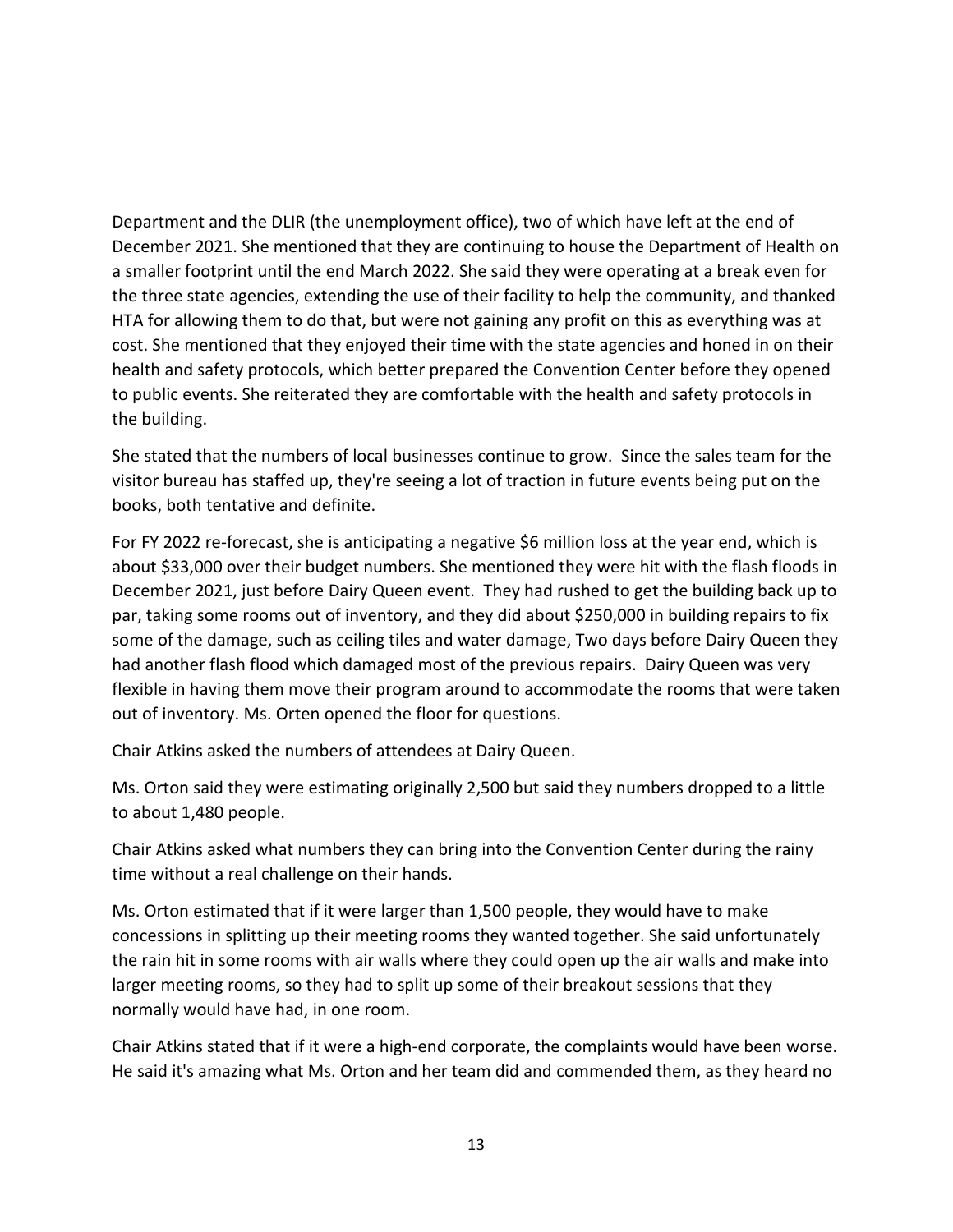Department and the DLIR (the unemployment office), two of which have left at the end of December 2021. She mentioned that they are continuing to house the Department of Health on a smaller footprint until the end March 2022. She said they were operating at a break even for the three state agencies, extending the use of their facility to help the community, and thanked HTA for allowing them to do that, but were not gaining any profit on this as everything was at cost. She mentioned that they enjoyed their time with the state agencies and honed in on their health and safety protocols, which better prepared the Convention Center before they opened to public events. She reiterated they are comfortable with the health and safety protocols in the building.

She stated that the numbers of local businesses continue to grow. Since the sales team for the visitor bureau has staffed up, they're seeing a lot of traction in future events being put on the books, both tentative and definite.

For FY 2022 re-forecast, she is anticipating a negative \$6 million loss at the year end, which is about \$33,000 over their budget numbers. She mentioned they were hit with the flash floods in December 2021, just before Dairy Queen event. They had rushed to get the building back up to par, taking some rooms out of inventory, and they did about \$250,000 in building repairs to fix some of the damage, such as ceiling tiles and water damage, Two days before Dairy Queen they had another flash flood which damaged most of the previous repairs. Dairy Queen was very flexible in having them move their program around to accommodate the rooms that were taken out of inventory. Ms. Orten opened the floor for questions.

Chair Atkins asked the numbers of attendees at Dairy Queen.

Ms. Orton said they were estimating originally 2,500 but said they numbers dropped to a little to about 1,480 people.

Chair Atkins asked what numbers they can bring into the Convention Center during the rainy time without a real challenge on their hands.

Ms. Orton estimated that if it were larger than 1,500 people, they would have to make concessions in splitting up their meeting rooms they wanted together. She said unfortunately the rain hit in some rooms with air walls where they could open up the air walls and make into larger meeting rooms, so they had to split up some of their breakout sessions that they normally would have had, in one room.

Chair Atkins stated that if it were a high-end corporate, the complaints would have been worse. He said it's amazing what Ms. Orton and her team did and commended them, as they heard no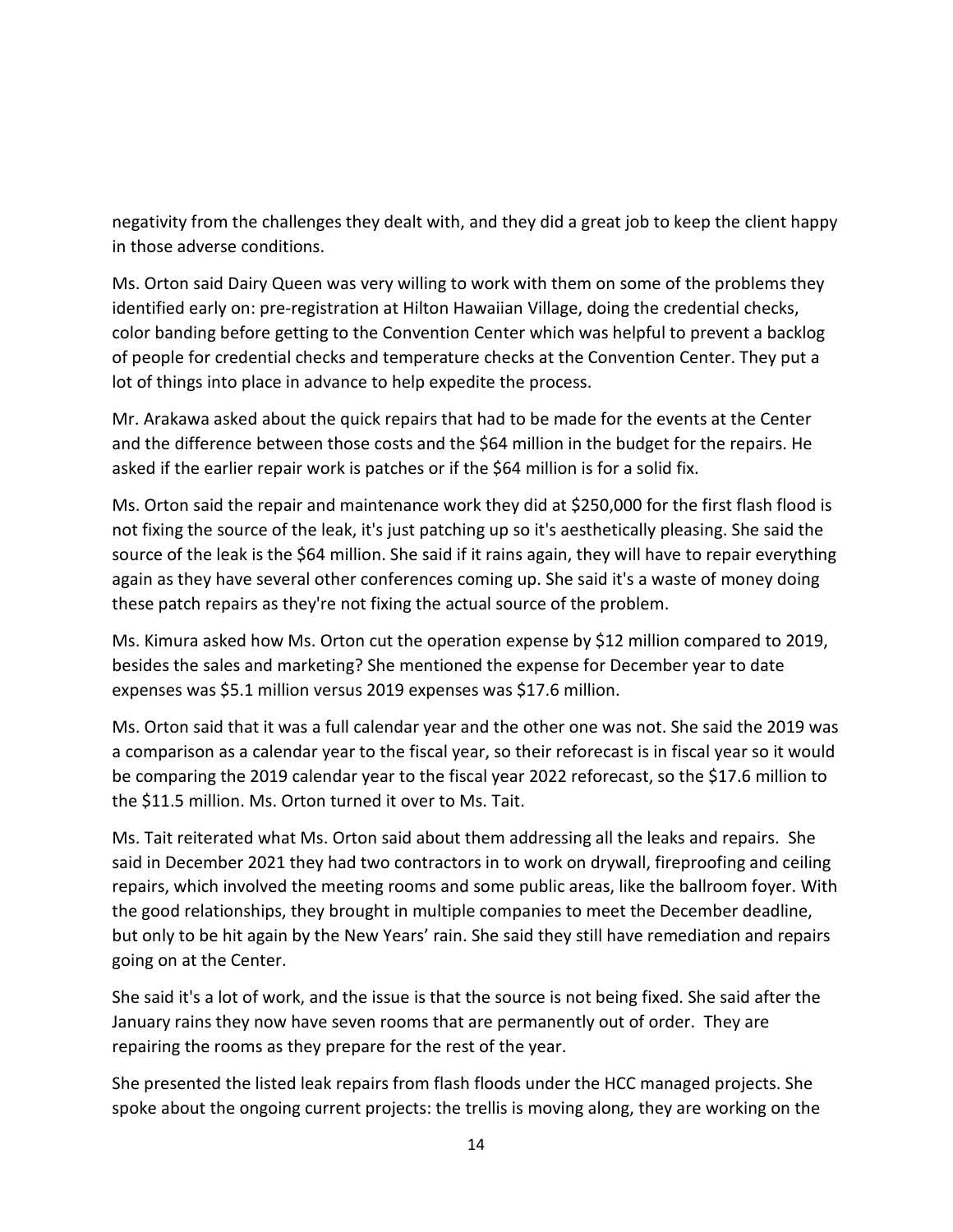negativity from the challenges they dealt with, and they did a great job to keep the client happy in those adverse conditions.

Ms. Orton said Dairy Queen was very willing to work with them on some of the problems they identified early on: pre-registration at Hilton Hawaiian Village, doing the credential checks, color banding before getting to the Convention Center which was helpful to prevent a backlog of people for credential checks and temperature checks at the Convention Center. They put a lot of things into place in advance to help expedite the process.

Mr. Arakawa asked about the quick repairs that had to be made for the events at the Center and the difference between those costs and the \$64 million in the budget for the repairs. He asked if the earlier repair work is patches or if the \$64 million is for a solid fix.

Ms. Orton said the repair and maintenance work they did at \$250,000 for the first flash flood is not fixing the source of the leak, it's just patching up so it's aesthetically pleasing. She said the source of the leak is the \$64 million. She said if it rains again, they will have to repair everything again as they have several other conferences coming up. She said it's a waste of money doing these patch repairs as they're not fixing the actual source of the problem.

Ms. Kimura asked how Ms. Orton cut the operation expense by \$12 million compared to 2019, besides the sales and marketing? She mentioned the expense for December year to date expenses was \$5.1 million versus 2019 expenses was \$17.6 million.

Ms. Orton said that it was a full calendar year and the other one was not. She said the 2019 was a comparison as a calendar year to the fiscal year, so their reforecast is in fiscal year so it would be comparing the 2019 calendar year to the fiscal year 2022 reforecast, so the \$17.6 million to the \$11.5 million. Ms. Orton turned it over to Ms. Tait.

Ms. Tait reiterated what Ms. Orton said about them addressing all the leaks and repairs. She said in December 2021 they had two contractors in to work on drywall, fireproofing and ceiling repairs, which involved the meeting rooms and some public areas, like the ballroom foyer. With the good relationships, they brought in multiple companies to meet the December deadline, but only to be hit again by the New Years' rain. She said they still have remediation and repairs going on at the Center.

She said it's a lot of work, and the issue is that the source is not being fixed. She said after the January rains they now have seven rooms that are permanently out of order. They are repairing the rooms as they prepare for the rest of the year.

She presented the listed leak repairs from flash floods under the HCC managed projects. She spoke about the ongoing current projects: the trellis is moving along, they are working on the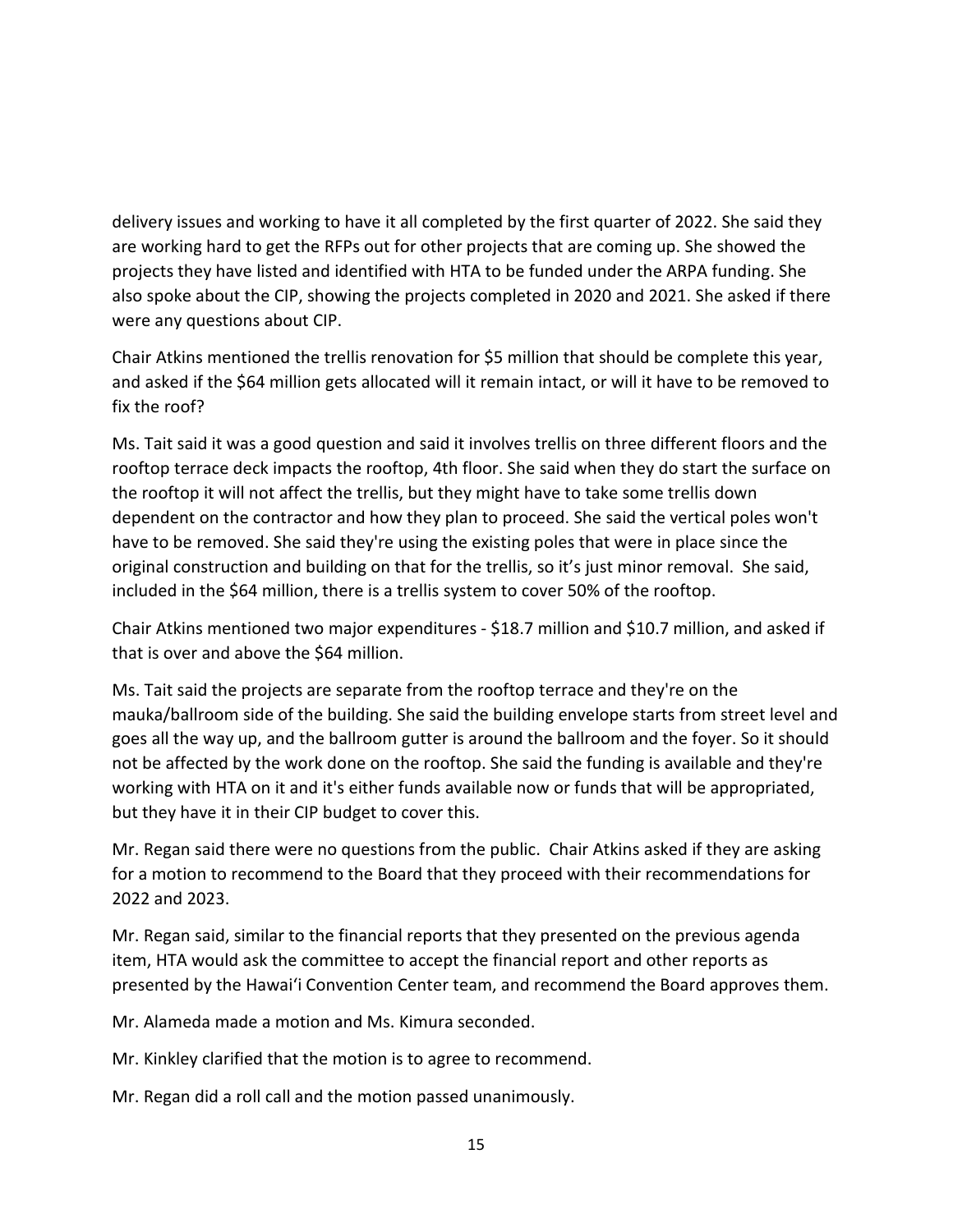delivery issues and working to have it all completed by the first quarter of 2022. She said they are working hard to get the RFPs out for other projects that are coming up. She showed the projects they have listed and identified with HTA to be funded under the ARPA funding. She also spoke about the CIP, showing the projects completed in 2020 and 2021. She asked if there were any questions about CIP.

Chair Atkins mentioned the trellis renovation for \$5 million that should be complete this year, and asked if the \$64 million gets allocated will it remain intact, or will it have to be removed to fix the roof?

Ms. Tait said it was a good question and said it involves trellis on three different floors and the rooftop terrace deck impacts the rooftop, 4th floor. She said when they do start the surface on the rooftop it will not affect the trellis, but they might have to take some trellis down dependent on the contractor and how they plan to proceed. She said the vertical poles won't have to be removed. She said they're using the existing poles that were in place since the original construction and building on that for the trellis, so it's just minor removal. She said, included in the \$64 million, there is a trellis system to cover 50% of the rooftop.

Chair Atkins mentioned two major expenditures - \$18.7 million and \$10.7 million, and asked if that is over and above the \$64 million.

Ms. Tait said the projects are separate from the rooftop terrace and they're on the mauka/ballroom side of the building. She said the building envelope starts from street level and goes all the way up, and the ballroom gutter is around the ballroom and the foyer. So it should not be affected by the work done on the rooftop. She said the funding is available and they're working with HTA on it and it's either funds available now or funds that will be appropriated, but they have it in their CIP budget to cover this.

Mr. Regan said there were no questions from the public. Chair Atkins asked if they are asking for a motion to recommend to the Board that they proceed with their recommendations for 2022 and 2023.

Mr. Regan said, similar to the financial reports that they presented on the previous agenda item, HTA would ask the committee to accept the financial report and other reports as presented by the Hawai'i Convention Center team, and recommend the Board approves them.

Mr. Alameda made a motion and Ms. Kimura seconded.

Mr. Kinkley clarified that the motion is to agree to recommend.

Mr. Regan did a roll call and the motion passed unanimously.